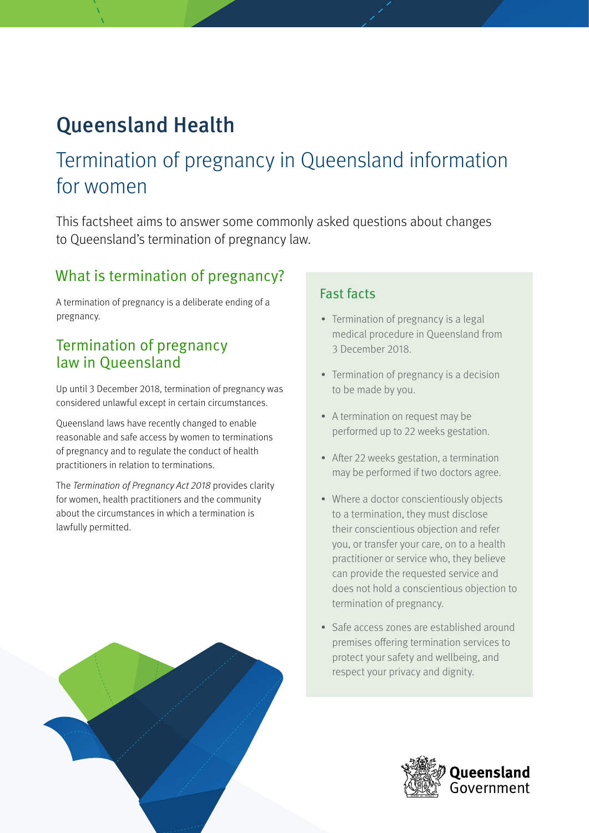# Queensland Health

# Termination of pregnancy in Queensland information for women

This factsheet aims to answer some commonly asked questions about changes to Queensland's termination of pregnancy law.

### What is termination of pregnancy?

A termination of pregnancy is a deliberate ending of a pregnancy.

### Termination of pregnancy law in Queensland

Up until 3 December 2018, termination of pregnancy was considered unlawful except in certain circumstances.

Queensland laws have recently changed to enable reasonable and safe access by women to terminations of pregnancy and to regulate the conduct of health practitioners in relation to terminations.

The Termination of Pregnancy Act 2018 provides clarity for women, health practitioners and the community about the circumstances in which a termination is lawfully permitted.

### Fast facts

- Termination of pregnancy is a legal medical procedure in Queensland from 3 December 2018.
- Termination of pregnancy is a decision to be made by you.
- A termination on request may be performed up to 22 weeks gestation.
- After 22 weeks gestation, a termination may be performed if two doctors agree.
- Where a doctor conscientiously objects to a termination, they must disclose their conscientious objection and refer you, or transfer your care, on to a health practitioner or service who, they believe can provide the requested service and does not hold a conscientious objection to termination of pregnancy.
- Safe access zones are established around premises offering termination services to protect your safety and wellbeing, and respect your privacy and dignity.

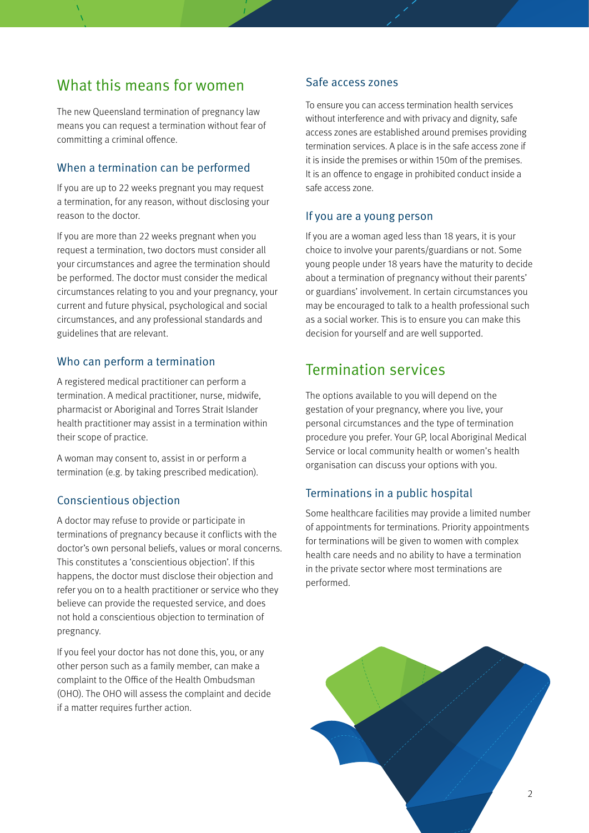### What this means for women

The new Queensland termination of pregnancy law means you can request a termination without fear of committing a criminal offence.

### When a termination can be performed

If you are up to 22 weeks pregnant you may request a termination, for any reason, without disclosing your reason to the doctor.

If you are more than 22 weeks pregnant when you request a termination, two doctors must consider all your circumstances and agree the termination should be performed. The doctor must consider the medical circumstances relating to you and your pregnancy, your current and future physical, psychological and social circumstances, and any professional standards and guidelines that are relevant.

#### Who can perform a termination

A registered medical practitioner can perform a termination. A medical practitioner, nurse, midwife, pharmacist or Aboriginal and Torres Strait Islander health practitioner may assist in a termination within their scope of practice.

A woman may consent to, assist in or perform a termination (e.g. by taking prescribed medication).

#### Conscientious objection

A doctor may refuse to provide or participate in terminations of pregnancy because it conflicts with the doctor's own personal beliefs, values or moral concerns. This constitutes a 'conscientious objection'. If this happens, the doctor must disclose their objection and refer you on to a health practitioner or service who they believe can provide the requested service, and does not hold a conscientious objection to termination of pregnancy.

If you feel your doctor has not done this, you, or any other person such as a family member, can make a complaint to the Office of the Health Ombudsman (OHO). The OHO will assess the complaint and decide if a matter requires further action.

#### Safe access zones

To ensure you can access termination health services without interference and with privacy and dignity, safe access zones are established around premises providing termination services. A place is in the safe access zone if it is inside the premises or within 150m of the premises. It is an offence to engage in prohibited conduct inside a safe access zone.

#### If you are a young person

If you are a woman aged less than 18 years, it is your choice to involve your parents/guardians or not. Some young people under 18 years have the maturity to decide about a termination of pregnancy without their parents' or guardians' involvement. In certain circumstances you may be encouraged to talk to a health professional such as a social worker. This is to ensure you can make this decision for yourself and are well supported.

### Termination services

The options available to you will depend on the gestation of your pregnancy, where you live, your personal circumstances and the type of termination procedure you prefer. Your GP, local Aboriginal Medical Service or local community health or women's health organisation can discuss your options with you.

#### Terminations in a public hospital

Some healthcare facilities may provide a limited number of appointments for terminations. Priority appointments for terminations will be given to women with complex health care needs and no ability to have a termination in the private sector where most terminations are performed.